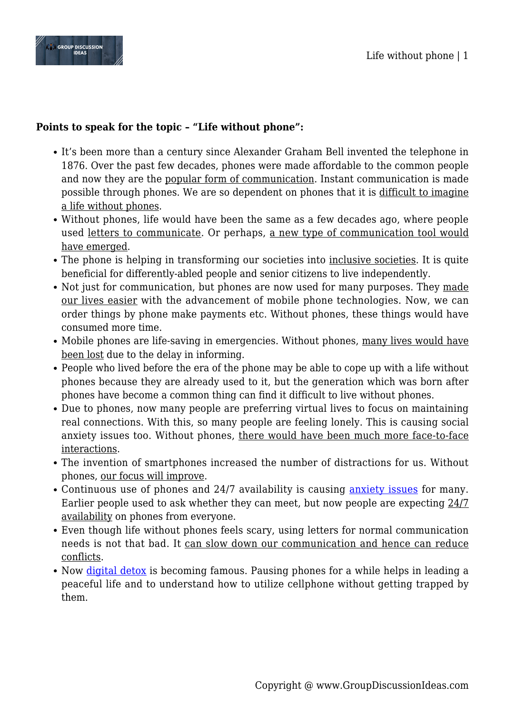

## **Points to speak for the topic – "Life without phone":**

- It's been more than a century since Alexander Graham Bell invented the telephone in 1876. Over the past few decades, phones were made affordable to the common people and now they are the popular form of communication. Instant communication is made possible through phones. We are so dependent on phones that it is difficult to imagine a life without phones.
- Without phones, life would have been the same as a few decades ago, where people used letters to communicate. Or perhaps, a new type of communication tool would have emerged.
- The phone is helping in transforming our societies into inclusive societies. It is quite beneficial for differently-abled people and senior citizens to live independently.
- Not just for communication, but phones are now used for many purposes. They made our lives easier with the advancement of mobile phone technologies. Now, we can order things by phone make payments etc. Without phones, these things would have consumed more time.
- Mobile phones are life-saving in emergencies. Without phones, many lives would have been lost due to the delay in informing.
- People who lived before the era of the phone may be able to cope up with a life without phones because they are already used to it, but the generation which was born after phones have become a common thing can find it difficult to live without phones.
- Due to phones, now many people are preferring virtual lives to focus on maintaining real connections. With this, so many people are feeling lonely. This is causing social anxiety issues too. Without phones, there would have been much more face-to-face interactions.
- The invention of smartphones increased the number of distractions for us. Without phones, our focus will improve.
- Continuous use of phones and 24/7 availability is causing [anxiety issues](https://www.groupdiscussionideas.com/mental-illness-in-india/) for many. Earlier people used to ask whether they can meet, but now people are expecting 24/7 availability on phones from everyone.
- Even though life without phones feels scary, using letters for normal communication needs is not that bad. It can slow down our communication and hence can reduce conflicts.
- Now [digital detox](https://www.groupdiscussionideas.com/digital-detox/) is becoming famous. Pausing phones for a while helps in leading a peaceful life and to understand how to utilize cellphone without getting trapped by them.